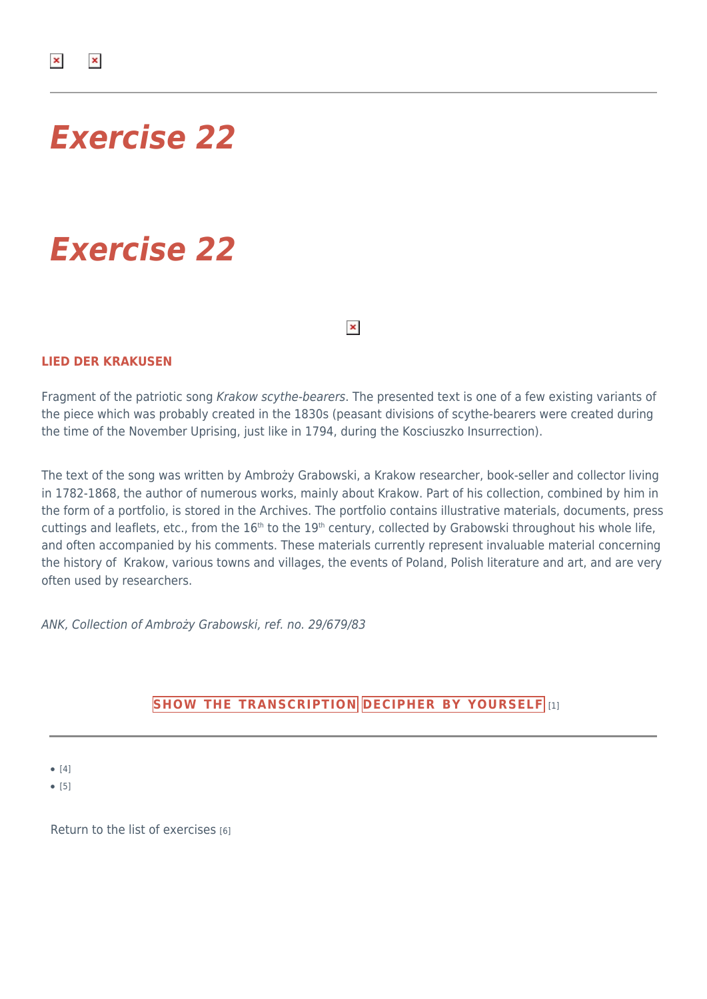## *Exercise 22*

# *Exercise 22*

 $\pmb{\times}$ 

### **LIED DER KRAKUSEN**

Fragment of the patriotic song Krakow scythe-bearers. The presented text is one of a few existing variants of the piece which was probably created in the 1830s (peasant divisions of scythe-bearers were created during the time of the November Uprising, just like in 1794, during the Kosciuszko Insurrection).

The text of the song was written by Ambroży Grabowski, a Krakow researcher, book-seller and collector living in 1782-1868, the author of numerous works, mainly about Krakow. Part of his collection, combined by him in the form of a portfolio, is stored in the Archives. The portfolio contains illustrative materials, documents, press cuttings and leaflets, etc., from the 16<sup>th</sup> to the 19<sup>th</sup> century, collected by Grabowski throughout his whole life, and often accompanied by his comments. These materials currently represent invaluable material concerning the history of Krakow, various towns and villages, the events of Poland, Polish literature and art, and are very often used by researchers.

ANK, Collection of Ambroży Grabowski, ref. no. 29/679/83

## **[SHOW THE TRANSCRIPTION](#page--1-0) [DECIPHER BY YOURSELF](https://dawnepismo.ank.gov.pl.local/en/printpdf/cwiczenia-praktyczne/644/odczytywanie)** [1]

● [4]

● [5]

[Return to the list of exercises](https://dawnepismo.ank.gov.pl.local/en/practical-excersises/list-exercises) [6]